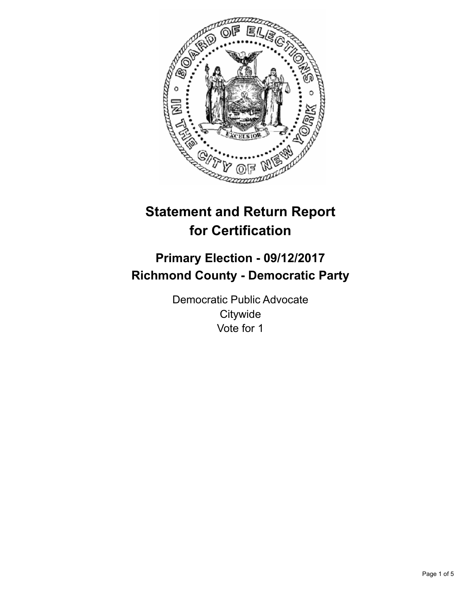

# **Statement and Return Report for Certification**

## **Primary Election - 09/12/2017 Richmond County - Democratic Party**

Democratic Public Advocate **Citywide** Vote for 1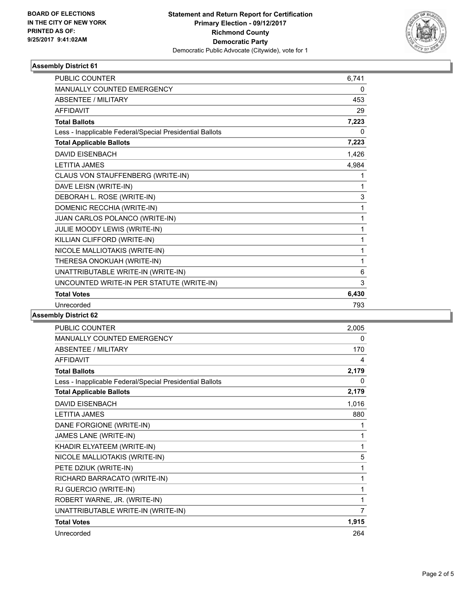

## **Assembly District 61**

| <b>PUBLIC COUNTER</b>                                    | 6,741 |
|----------------------------------------------------------|-------|
| <b>MANUALLY COUNTED EMERGENCY</b>                        | 0     |
| <b>ABSENTEE / MILITARY</b>                               | 453   |
| <b>AFFIDAVIT</b>                                         | 29    |
| <b>Total Ballots</b>                                     | 7,223 |
| Less - Inapplicable Federal/Special Presidential Ballots | 0     |
| <b>Total Applicable Ballots</b>                          | 7,223 |
| <b>DAVID EISENBACH</b>                                   | 1,426 |
| <b>LETITIA JAMES</b>                                     | 4,984 |
| CLAUS VON STAUFFENBERG (WRITE-IN)                        | 1     |
| DAVE LEISN (WRITE-IN)                                    | 1     |
| DEBORAH L. ROSE (WRITE-IN)                               | 3     |
| DOMENIC RECCHIA (WRITE-IN)                               | 1     |
| JUAN CARLOS POLANCO (WRITE-IN)                           | 1     |
| JULIE MOODY LEWIS (WRITE-IN)                             | 1     |
| KILLIAN CLIFFORD (WRITE-IN)                              | 1     |
| NICOLE MALLIOTAKIS (WRITE-IN)                            | 1     |
| THERESA ONOKUAH (WRITE-IN)                               | 1     |
| UNATTRIBUTABLE WRITE-IN (WRITE-IN)                       | 6     |
| UNCOUNTED WRITE-IN PER STATUTE (WRITE-IN)                | 3     |
| <b>Total Votes</b>                                       | 6,430 |
| Unrecorded                                               | 793   |
|                                                          |       |

#### **Assembly District 62**

| PUBLIC COUNTER                                           | 2,005 |
|----------------------------------------------------------|-------|
| <b>MANUALLY COUNTED EMERGENCY</b>                        | 0     |
| <b>ABSENTEE / MILITARY</b>                               | 170   |
| <b>AFFIDAVIT</b>                                         | 4     |
| <b>Total Ballots</b>                                     | 2,179 |
| Less - Inapplicable Federal/Special Presidential Ballots | 0     |
| <b>Total Applicable Ballots</b>                          | 2,179 |
| <b>DAVID EISENBACH</b>                                   | 1,016 |
| <b>LETITIA JAMES</b>                                     | 880   |
| DANE FORGIONE (WRITE-IN)                                 | 1     |
| JAMES LANE (WRITE-IN)                                    | 1     |
| KHADIR ELYATEEM (WRITE-IN)                               | 1     |
| NICOLE MALLIOTAKIS (WRITE-IN)                            | 5     |
| PETE DZIUK (WRITE-IN)                                    | 1     |
| RICHARD BARRACATO (WRITE-IN)                             | 1     |
| RJ GUERCIO (WRITE-IN)                                    | 1     |
| ROBERT WARNE, JR. (WRITE-IN)                             | 1     |
| UNATTRIBUTABLE WRITE-IN (WRITE-IN)                       | 7     |
| <b>Total Votes</b>                                       | 1,915 |
| Unrecorded                                               | 264   |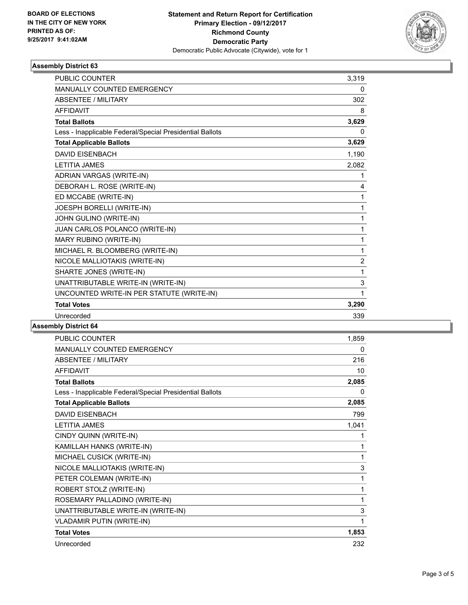

## **Assembly District 63**

| <b>PUBLIC COUNTER</b>                                    | 3,319          |
|----------------------------------------------------------|----------------|
| <b>MANUALLY COUNTED EMERGENCY</b>                        | 0              |
| <b>ABSENTEE / MILITARY</b>                               | 302            |
| <b>AFFIDAVIT</b>                                         | 8              |
| <b>Total Ballots</b>                                     | 3,629          |
| Less - Inapplicable Federal/Special Presidential Ballots | 0              |
| <b>Total Applicable Ballots</b>                          | 3,629          |
| <b>DAVID EISENBACH</b>                                   | 1,190          |
| <b>LETITIA JAMES</b>                                     | 2.082          |
| ADRIAN VARGAS (WRITE-IN)                                 | 1              |
| DEBORAH L. ROSE (WRITE-IN)                               | 4              |
| ED MCCABE (WRITE-IN)                                     | 1              |
| JOESPH BORELLI (WRITE-IN)                                | 1              |
| JOHN GULINO (WRITE-IN)                                   | 1              |
| JUAN CARLOS POLANCO (WRITE-IN)                           | 1              |
| MARY RUBINO (WRITE-IN)                                   | 1              |
| MICHAEL R. BLOOMBERG (WRITE-IN)                          | 1              |
| NICOLE MALLIOTAKIS (WRITE-IN)                            | $\overline{2}$ |
| SHARTE JONES (WRITE-IN)                                  | 1              |
| UNATTRIBUTABLE WRITE-IN (WRITE-IN)                       | 3              |
| UNCOUNTED WRITE-IN PER STATUTE (WRITE-IN)                | 1              |
| <b>Total Votes</b>                                       | 3,290          |
| Unrecorded                                               | 339            |

**Assembly District 64**

| PUBLIC COUNTER                                           | 1,859 |
|----------------------------------------------------------|-------|
| <b>MANUALLY COUNTED EMERGENCY</b>                        | 0     |
| ABSENTEE / MILITARY                                      | 216   |
| <b>AFFIDAVIT</b>                                         | 10    |
| <b>Total Ballots</b>                                     | 2,085 |
| Less - Inapplicable Federal/Special Presidential Ballots | 0     |
| <b>Total Applicable Ballots</b>                          | 2,085 |
| <b>DAVID EISENBACH</b>                                   | 799   |
| <b>LETITIA JAMES</b>                                     | 1,041 |
| CINDY QUINN (WRITE-IN)                                   | 1     |
| KAMILLAH HANKS (WRITE-IN)                                | 1     |
| MICHAEL CUSICK (WRITE-IN)                                | 1     |
| NICOLE MALLIOTAKIS (WRITE-IN)                            | 3     |
| PETER COLEMAN (WRITE-IN)                                 | 1     |
| ROBERT STOLZ (WRITE-IN)                                  | 1     |
| ROSEMARY PALLADINO (WRITE-IN)                            | 1     |
| UNATTRIBUTABLE WRITE-IN (WRITE-IN)                       | 3     |
| <b>VLADAMIR PUTIN (WRITE-IN)</b>                         | 1     |
| <b>Total Votes</b>                                       | 1,853 |
| Unrecorded                                               | 232   |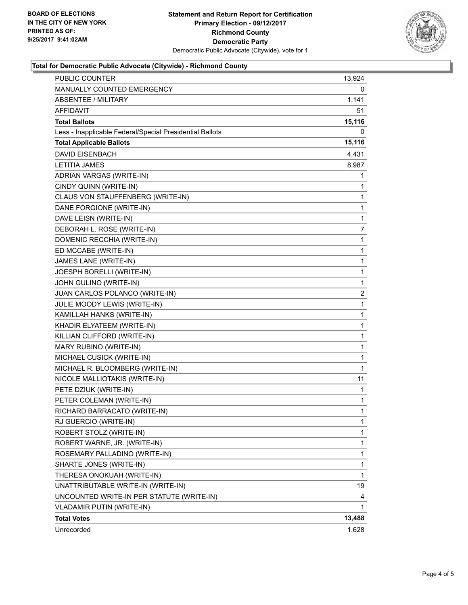

## **Total for Democratic Public Advocate (Citywide) - Richmond County**

| PUBLIC COUNTER                                           | 13,924 |
|----------------------------------------------------------|--------|
| <b>MANUALLY COUNTED EMERGENCY</b>                        | 0      |
| <b>ABSENTEE / MILITARY</b>                               | 1,141  |
| AFFIDAVIT                                                | 51     |
| <b>Total Ballots</b>                                     | 15,116 |
| Less - Inapplicable Federal/Special Presidential Ballots | 0      |
| <b>Total Applicable Ballots</b>                          | 15,116 |
| <b>DAVID EISENBACH</b>                                   | 4,431  |
| <b>LETITIA JAMES</b>                                     | 8,987  |
| ADRIAN VARGAS (WRITE-IN)                                 | 1      |
| CINDY QUINN (WRITE-IN)                                   | 1      |
| CLAUS VON STAUFFENBERG (WRITE-IN)                        | 1      |
| DANE FORGIONE (WRITE-IN)                                 | 1      |
| DAVE LEISN (WRITE-IN)                                    | 1      |
| DEBORAH L. ROSE (WRITE-IN)                               | 7      |
| DOMENIC RECCHIA (WRITE-IN)                               | 1      |
| ED MCCABE (WRITE-IN)                                     | 1      |
| JAMES LANE (WRITE-IN)                                    | 1      |
| JOESPH BORELLI (WRITE-IN)                                | 1      |
| JOHN GULINO (WRITE-IN)                                   | 1      |
| JUAN CARLOS POLANCO (WRITE-IN)                           | 2      |
| JULIE MOODY LEWIS (WRITE-IN)                             | 1      |
| KAMILLAH HANKS (WRITE-IN)                                | 1      |
| KHADIR ELYATEEM (WRITE-IN)                               | 1      |
| KILLIAN CLIFFORD (WRITE-IN)                              | 1      |
| MARY RUBINO (WRITE-IN)                                   | 1      |
| MICHAEL CUSICK (WRITE-IN)                                | 1      |
| MICHAEL R. BLOOMBERG (WRITE-IN)                          | 1      |
| NICOLE MALLIOTAKIS (WRITE-IN)                            | 11     |
| PETE DZIUK (WRITE-IN)                                    | 1      |
| PETER COLEMAN (WRITE-IN)                                 | 1      |
| RICHARD BARRACATO (WRITE-IN)                             | 1      |
| RJ GUERCIO (WRITE-IN)                                    | 1      |
| ROBERT STOLZ (WRITE-IN)                                  | 1      |
| ROBERT WARNE, JR. (WRITE-IN)                             | 1      |
| ROSEMARY PALLADINO (WRITE-IN)                            | 1      |
| SHARTE JONES (WRITE-IN)                                  | 1      |
| THERESA ONOKUAH (WRITE-IN)                               | 1      |
| UNATTRIBUTABLE WRITE-IN (WRITE-IN)                       | 19     |
| UNCOUNTED WRITE-IN PER STATUTE (WRITE-IN)                | 4      |
| VLADAMIR PUTIN (WRITE-IN)                                | 1      |
| <b>Total Votes</b>                                       | 13,488 |
| Unrecorded                                               | 1,628  |